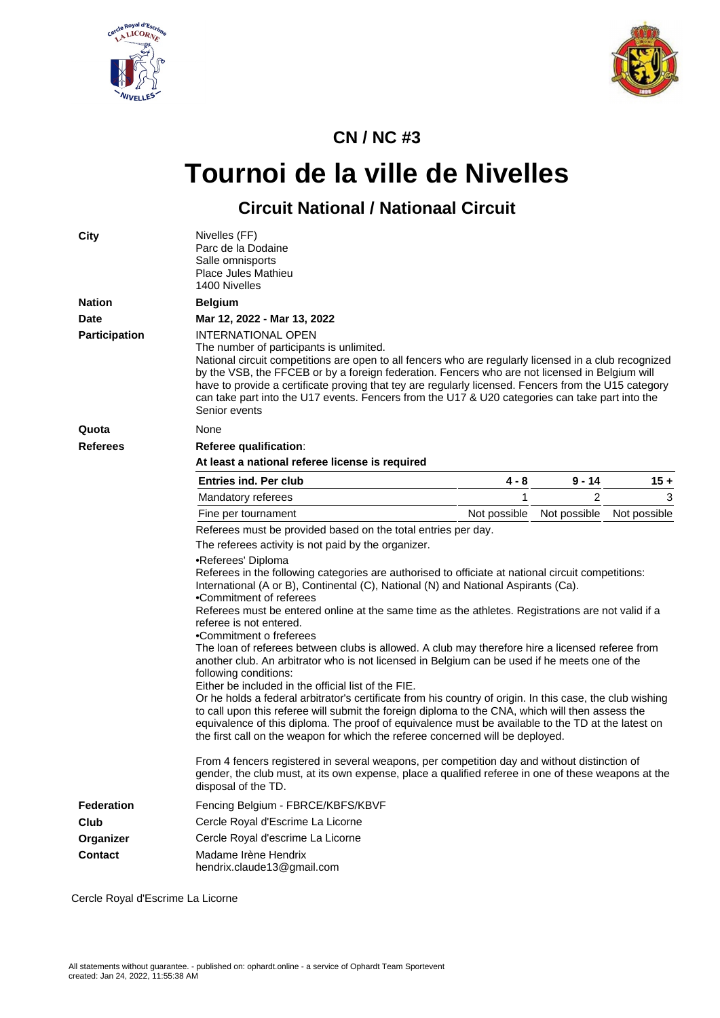



## **CN / NC #3**

## **Tournoi de la ville de Nivelles**

## **Circuit National / Nationaal Circuit**

| <b>City</b>          | Nivelles (FF)<br>Parc de la Dodaine<br>Salle omnisports<br>Place Jules Mathieu<br>1400 Nivelles                                                                                                                                                                                                                                                                                                                                                                                                                                                                                                                                                                                                                                                                                                                                                                                                                                                                                                                                                                                                     |              |              |              |  |  |  |  |  |  |
|----------------------|-----------------------------------------------------------------------------------------------------------------------------------------------------------------------------------------------------------------------------------------------------------------------------------------------------------------------------------------------------------------------------------------------------------------------------------------------------------------------------------------------------------------------------------------------------------------------------------------------------------------------------------------------------------------------------------------------------------------------------------------------------------------------------------------------------------------------------------------------------------------------------------------------------------------------------------------------------------------------------------------------------------------------------------------------------------------------------------------------------|--------------|--------------|--------------|--|--|--|--|--|--|
| <b>Nation</b>        | <b>Belgium</b>                                                                                                                                                                                                                                                                                                                                                                                                                                                                                                                                                                                                                                                                                                                                                                                                                                                                                                                                                                                                                                                                                      |              |              |              |  |  |  |  |  |  |
| <b>Date</b>          | Mar 12, 2022 - Mar 13, 2022                                                                                                                                                                                                                                                                                                                                                                                                                                                                                                                                                                                                                                                                                                                                                                                                                                                                                                                                                                                                                                                                         |              |              |              |  |  |  |  |  |  |
| <b>Participation</b> | <b>INTERNATIONAL OPEN</b><br>The number of participants is unlimited.<br>National circuit competitions are open to all fencers who are regularly licensed in a club recognized<br>by the VSB, the FFCEB or by a foreign federation. Fencers who are not licensed in Belgium will<br>have to provide a certificate proving that tey are regularly licensed. Fencers from the U15 category<br>can take part into the U17 events. Fencers from the U17 & U20 categories can take part into the<br>Senior events                                                                                                                                                                                                                                                                                                                                                                                                                                                                                                                                                                                        |              |              |              |  |  |  |  |  |  |
| Quota                | None                                                                                                                                                                                                                                                                                                                                                                                                                                                                                                                                                                                                                                                                                                                                                                                                                                                                                                                                                                                                                                                                                                |              |              |              |  |  |  |  |  |  |
| <b>Referees</b>      | Referee qualification:                                                                                                                                                                                                                                                                                                                                                                                                                                                                                                                                                                                                                                                                                                                                                                                                                                                                                                                                                                                                                                                                              |              |              |              |  |  |  |  |  |  |
|                      | At least a national referee license is required                                                                                                                                                                                                                                                                                                                                                                                                                                                                                                                                                                                                                                                                                                                                                                                                                                                                                                                                                                                                                                                     |              |              |              |  |  |  |  |  |  |
|                      | <b>Entries ind. Per club</b>                                                                                                                                                                                                                                                                                                                                                                                                                                                                                                                                                                                                                                                                                                                                                                                                                                                                                                                                                                                                                                                                        | 4 - 8        | $9 - 14$     | $15 +$       |  |  |  |  |  |  |
|                      | Mandatory referees                                                                                                                                                                                                                                                                                                                                                                                                                                                                                                                                                                                                                                                                                                                                                                                                                                                                                                                                                                                                                                                                                  | 1            | 2            | 3            |  |  |  |  |  |  |
|                      | Fine per tournament                                                                                                                                                                                                                                                                                                                                                                                                                                                                                                                                                                                                                                                                                                                                                                                                                                                                                                                                                                                                                                                                                 | Not possible | Not possible | Not possible |  |  |  |  |  |  |
|                      | Referees must be provided based on the total entries per day.                                                                                                                                                                                                                                                                                                                                                                                                                                                                                                                                                                                                                                                                                                                                                                                                                                                                                                                                                                                                                                       |              |              |              |  |  |  |  |  |  |
|                      | The referees activity is not paid by the organizer.                                                                                                                                                                                                                                                                                                                                                                                                                                                                                                                                                                                                                                                                                                                                                                                                                                                                                                                                                                                                                                                 |              |              |              |  |  |  |  |  |  |
|                      | •Referees' Diploma<br>Referees in the following categories are authorised to officiate at national circuit competitions:<br>International (A or B), Continental (C), National (N) and National Aspirants (Ca).<br>•Commitment of referees<br>Referees must be entered online at the same time as the athletes. Registrations are not valid if a<br>referee is not entered.<br>•Commitment o freferees<br>The loan of referees between clubs is allowed. A club may therefore hire a licensed referee from<br>another club. An arbitrator who is not licensed in Belgium can be used if he meets one of the<br>following conditions:<br>Either be included in the official list of the FIE.<br>Or he holds a federal arbitrator's certificate from his country of origin. In this case, the club wishing<br>to call upon this referee will submit the foreign diploma to the CNA, which will then assess the<br>equivalence of this diploma. The proof of equivalence must be available to the TD at the latest on<br>the first call on the weapon for which the referee concerned will be deployed. |              |              |              |  |  |  |  |  |  |
|                      | From 4 fencers registered in several weapons, per competition day and without distinction of<br>gender, the club must, at its own expense, place a qualified referee in one of these weapons at the<br>disposal of the TD.                                                                                                                                                                                                                                                                                                                                                                                                                                                                                                                                                                                                                                                                                                                                                                                                                                                                          |              |              |              |  |  |  |  |  |  |
| <b>Federation</b>    | Fencing Belgium - FBRCE/KBFS/KBVF                                                                                                                                                                                                                                                                                                                                                                                                                                                                                                                                                                                                                                                                                                                                                                                                                                                                                                                                                                                                                                                                   |              |              |              |  |  |  |  |  |  |
| Club                 | Cercle Royal d'Escrime La Licorne                                                                                                                                                                                                                                                                                                                                                                                                                                                                                                                                                                                                                                                                                                                                                                                                                                                                                                                                                                                                                                                                   |              |              |              |  |  |  |  |  |  |
| Organizer            | Cercle Royal d'escrime La Licorne                                                                                                                                                                                                                                                                                                                                                                                                                                                                                                                                                                                                                                                                                                                                                                                                                                                                                                                                                                                                                                                                   |              |              |              |  |  |  |  |  |  |
| <b>Contact</b>       | Madame Irène Hendrix<br>hendrix.claude13@gmail.com                                                                                                                                                                                                                                                                                                                                                                                                                                                                                                                                                                                                                                                                                                                                                                                                                                                                                                                                                                                                                                                  |              |              |              |  |  |  |  |  |  |

Cercle Royal d'Escrime La Licorne